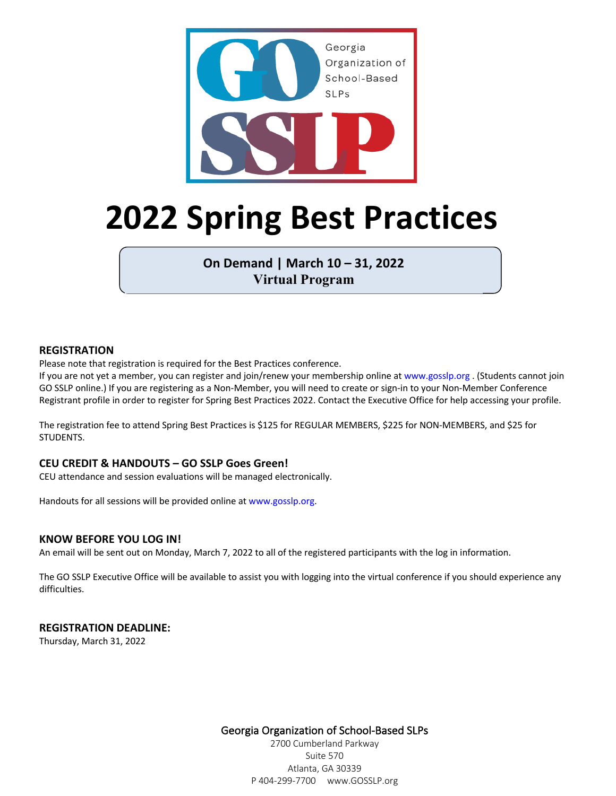

# **2022 Spring Best Practices**

**On Demand | March 10 – 31, 2022 Virtual Program**

#### **REGISTRATION**

Please note that registration is required for the Best Practices conference.

If you are not yet a member, you can register and join/renew your membership online at www.gosslp.org . (Students cannot join GO SSLP online.) If you are registering as a Non-Member, you will need to create or sign-in to your Non-Member Conference Registrant profile in order to register for Spring Best Practices 2022. Contact the Executive Office for help accessing your profile.

The registration fee to attend Spring Best Practices is \$125 for REGULAR MEMBERS, \$225 for NON-MEMBERS, and \$25 for STUDENTS.

#### **CEU CREDIT & HANDOUTS – GO SSLP Goes Green!**

CEU attendance and session evaluations will be managed electronically.

Handouts for all sessions will be provided online at www.gosslp.org.

#### **KNOW BEFORE YOU LOG IN!**

An email will be sent out on Monday, March 7, 2022 to all of the registered participants with the log in information.

The GO SSLP Executive Office will be available to assist you with logging into the virtual conference if you should experience any difficulties.

#### **REGISTRATION DEADLINE:**

Thursday, March 31, 2022

Georgia Organization of School-Based SLPs

2700 Cumberland Parkway Suite 570 Atlanta, GA 30339 P 404-299-7700 www.GOSSLP.org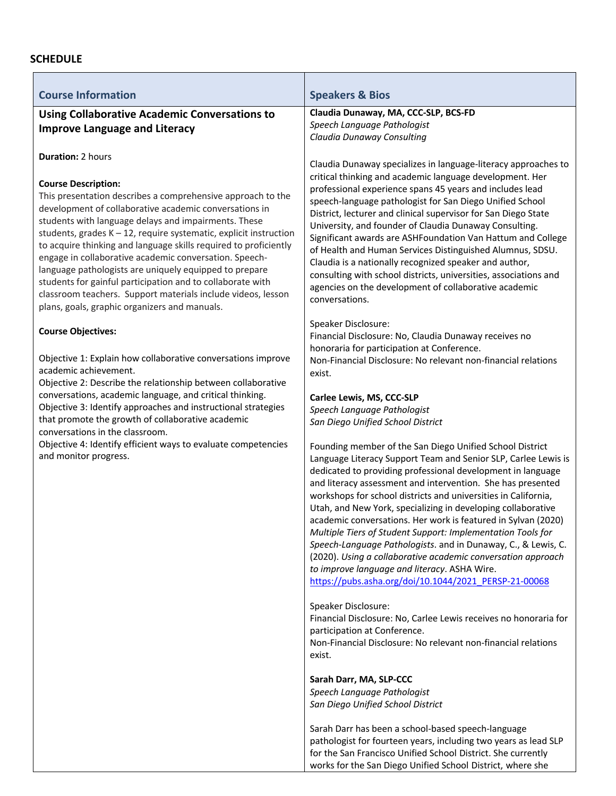# **SCHEDULE**

| <b>Course Information</b>                                                                                                    | <b>Speakers &amp; Bios</b>                                                                                                      |
|------------------------------------------------------------------------------------------------------------------------------|---------------------------------------------------------------------------------------------------------------------------------|
| <b>Using Collaborative Academic Conversations to</b>                                                                         | Claudia Dunaway, MA, CCC-SLP, BCS-FD                                                                                            |
| <b>Improve Language and Literacy</b>                                                                                         | Speech Language Pathologist<br>Claudia Dunaway Consulting                                                                       |
|                                                                                                                              |                                                                                                                                 |
| <b>Duration: 2 hours</b>                                                                                                     | Claudia Dunaway specializes in language-literacy approaches to                                                                  |
| <b>Course Description:</b>                                                                                                   | critical thinking and academic language development. Her                                                                        |
| This presentation describes a comprehensive approach to the                                                                  | professional experience spans 45 years and includes lead<br>speech-language pathologist for San Diego Unified School            |
| development of collaborative academic conversations in                                                                       | District, lecturer and clinical supervisor for San Diego State                                                                  |
| students with language delays and impairments. These<br>students, grades $K - 12$ , require systematic, explicit instruction | University, and founder of Claudia Dunaway Consulting.                                                                          |
| to acquire thinking and language skills required to proficiently                                                             | Significant awards are ASHFoundation Van Hattum and College<br>of Health and Human Services Distinguished Alumnus, SDSU.        |
| engage in collaborative academic conversation. Speech-                                                                       | Claudia is a nationally recognized speaker and author,                                                                          |
| language pathologists are uniquely equipped to prepare<br>students for gainful participation and to collaborate with         | consulting with school districts, universities, associations and                                                                |
| classroom teachers. Support materials include videos, lesson                                                                 | agencies on the development of collaborative academic<br>conversations.                                                         |
| plans, goals, graphic organizers and manuals.                                                                                |                                                                                                                                 |
| <b>Course Objectives:</b>                                                                                                    | Speaker Disclosure:                                                                                                             |
|                                                                                                                              | Financial Disclosure: No, Claudia Dunaway receives no<br>honoraria for participation at Conference.                             |
| Objective 1: Explain how collaborative conversations improve                                                                 | Non-Financial Disclosure: No relevant non-financial relations                                                                   |
| academic achievement.                                                                                                        | exist.                                                                                                                          |
| Objective 2: Describe the relationship between collaborative<br>conversations, academic language, and critical thinking.     | Carlee Lewis, MS, CCC-SLP                                                                                                       |
| Objective 3: Identify approaches and instructional strategies                                                                | Speech Language Pathologist                                                                                                     |
| that promote the growth of collaborative academic                                                                            | San Diego Unified School District                                                                                               |
| conversations in the classroom.<br>Objective 4: Identify efficient ways to evaluate competencies                             | Founding member of the San Diego Unified School District                                                                        |
| and monitor progress.                                                                                                        | Language Literacy Support Team and Senior SLP, Carlee Lewis is                                                                  |
|                                                                                                                              | dedicated to providing professional development in language                                                                     |
|                                                                                                                              | and literacy assessment and intervention. She has presented<br>workshops for school districts and universities in California,   |
|                                                                                                                              | Utah, and New York, specializing in developing collaborative                                                                    |
|                                                                                                                              | academic conversations. Her work is featured in Sylvan (2020)                                                                   |
|                                                                                                                              | Multiple Tiers of Student Support: Implementation Tools for<br>Speech-Language Pathologists. and in Dunaway, C., & Lewis, C.    |
|                                                                                                                              | (2020). Using a collaborative academic conversation approach                                                                    |
|                                                                                                                              | to improve language and literacy. ASHA Wire.                                                                                    |
|                                                                                                                              | https://pubs.asha.org/doi/10.1044/2021 PERSP-21-00068                                                                           |
|                                                                                                                              | Speaker Disclosure:                                                                                                             |
|                                                                                                                              | Financial Disclosure: No, Carlee Lewis receives no honoraria for                                                                |
|                                                                                                                              | participation at Conference.<br>Non-Financial Disclosure: No relevant non-financial relations                                   |
|                                                                                                                              | exist.                                                                                                                          |
|                                                                                                                              | Sarah Darr, MA, SLP-CCC                                                                                                         |
|                                                                                                                              | Speech Language Pathologist                                                                                                     |
|                                                                                                                              | San Diego Unified School District                                                                                               |
|                                                                                                                              | Sarah Darr has been a school-based speech-language                                                                              |
|                                                                                                                              | pathologist for fourteen years, including two years as lead SLP<br>for the San Francisco Unified School District. She currently |
|                                                                                                                              | works for the San Diego Unified School District, where she                                                                      |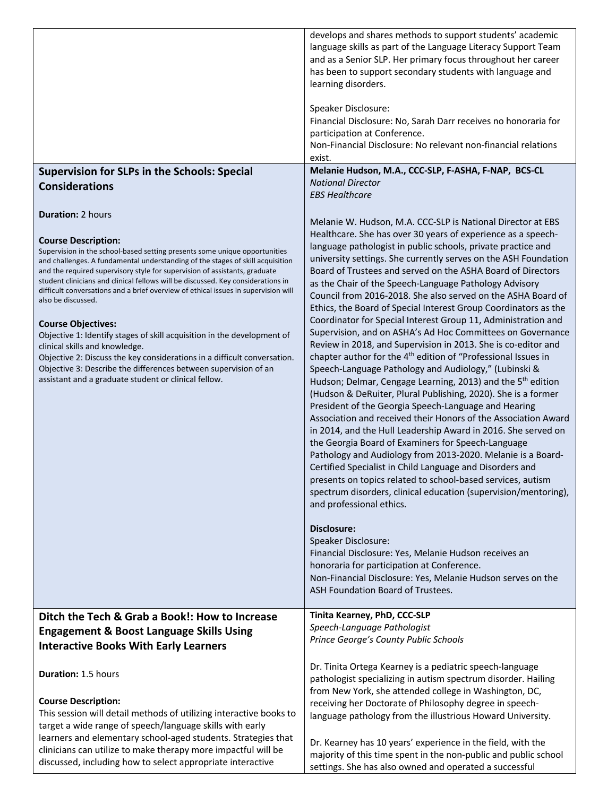|                                                                                                                                                                | develops and shares methods to support students' academic<br>language skills as part of the Language Literacy Support Team<br>and as a Senior SLP. Her primary focus throughout her career<br>has been to support secondary students with language and<br>learning disorders.<br>Speaker Disclosure:<br>Financial Disclosure: No, Sarah Darr receives no honoraria for<br>participation at Conference.<br>Non-Financial Disclosure: No relevant non-financial relations<br>exist. |
|----------------------------------------------------------------------------------------------------------------------------------------------------------------|-----------------------------------------------------------------------------------------------------------------------------------------------------------------------------------------------------------------------------------------------------------------------------------------------------------------------------------------------------------------------------------------------------------------------------------------------------------------------------------|
| <b>Supervision for SLPs in the Schools: Special</b>                                                                                                            | Melanie Hudson, M.A., CCC-SLP, F-ASHA, F-NAP, BCS-CL                                                                                                                                                                                                                                                                                                                                                                                                                              |
|                                                                                                                                                                | <b>National Director</b>                                                                                                                                                                                                                                                                                                                                                                                                                                                          |
| <b>Considerations</b>                                                                                                                                          | <b>EBS Healthcare</b>                                                                                                                                                                                                                                                                                                                                                                                                                                                             |
| <b>Duration: 2 hours</b>                                                                                                                                       | Melanie W. Hudson, M.A. CCC-SLP is National Director at EBS                                                                                                                                                                                                                                                                                                                                                                                                                       |
| <b>Course Description:</b>                                                                                                                                     | Healthcare. She has over 30 years of experience as a speech-                                                                                                                                                                                                                                                                                                                                                                                                                      |
| Supervision in the school-based setting presents some unique opportunities                                                                                     | language pathologist in public schools, private practice and                                                                                                                                                                                                                                                                                                                                                                                                                      |
| and challenges. A fundamental understanding of the stages of skill acquisition                                                                                 | university settings. She currently serves on the ASH Foundation                                                                                                                                                                                                                                                                                                                                                                                                                   |
| and the required supervisory style for supervision of assistants, graduate<br>student clinicians and clinical fellows will be discussed. Key considerations in | Board of Trustees and served on the ASHA Board of Directors                                                                                                                                                                                                                                                                                                                                                                                                                       |
| difficult conversations and a brief overview of ethical issues in supervision will                                                                             | as the Chair of the Speech-Language Pathology Advisory<br>Council from 2016-2018. She also served on the ASHA Board of                                                                                                                                                                                                                                                                                                                                                            |
| also be discussed.                                                                                                                                             | Ethics, the Board of Special Interest Group Coordinators as the                                                                                                                                                                                                                                                                                                                                                                                                                   |
| <b>Course Objectives:</b>                                                                                                                                      | Coordinator for Special Interest Group 11, Administration and                                                                                                                                                                                                                                                                                                                                                                                                                     |
| Objective 1: Identify stages of skill acquisition in the development of                                                                                        | Supervision, and on ASHA's Ad Hoc Committees on Governance                                                                                                                                                                                                                                                                                                                                                                                                                        |
| clinical skills and knowledge.                                                                                                                                 | Review in 2018, and Supervision in 2013. She is co-editor and                                                                                                                                                                                                                                                                                                                                                                                                                     |
| Objective 2: Discuss the key considerations in a difficult conversation.                                                                                       | chapter author for the 4 <sup>th</sup> edition of "Professional Issues in                                                                                                                                                                                                                                                                                                                                                                                                         |
| Objective 3: Describe the differences between supervision of an<br>assistant and a graduate student or clinical fellow.                                        | Speech-Language Pathology and Audiology," (Lubinski &                                                                                                                                                                                                                                                                                                                                                                                                                             |
|                                                                                                                                                                | Hudson; Delmar, Cengage Learning, 2013) and the 5 <sup>th</sup> edition<br>(Hudson & DeRuiter, Plural Publishing, 2020). She is a former                                                                                                                                                                                                                                                                                                                                          |
|                                                                                                                                                                | President of the Georgia Speech-Language and Hearing                                                                                                                                                                                                                                                                                                                                                                                                                              |
|                                                                                                                                                                | Association and received their Honors of the Association Award                                                                                                                                                                                                                                                                                                                                                                                                                    |
|                                                                                                                                                                | in 2014, and the Hull Leadership Award in 2016. She served on                                                                                                                                                                                                                                                                                                                                                                                                                     |
|                                                                                                                                                                | the Georgia Board of Examiners for Speech-Language                                                                                                                                                                                                                                                                                                                                                                                                                                |
|                                                                                                                                                                | Pathology and Audiology from 2013-2020. Melanie is a Board-                                                                                                                                                                                                                                                                                                                                                                                                                       |
|                                                                                                                                                                | Certified Specialist in Child Language and Disorders and<br>presents on topics related to school-based services, autism                                                                                                                                                                                                                                                                                                                                                           |
|                                                                                                                                                                | spectrum disorders, clinical education (supervision/mentoring),                                                                                                                                                                                                                                                                                                                                                                                                                   |
|                                                                                                                                                                | and professional ethics.                                                                                                                                                                                                                                                                                                                                                                                                                                                          |
|                                                                                                                                                                | <b>Disclosure:</b>                                                                                                                                                                                                                                                                                                                                                                                                                                                                |
|                                                                                                                                                                | Speaker Disclosure:                                                                                                                                                                                                                                                                                                                                                                                                                                                               |
|                                                                                                                                                                | Financial Disclosure: Yes, Melanie Hudson receives an                                                                                                                                                                                                                                                                                                                                                                                                                             |
|                                                                                                                                                                | honoraria for participation at Conference.                                                                                                                                                                                                                                                                                                                                                                                                                                        |
|                                                                                                                                                                | Non-Financial Disclosure: Yes, Melanie Hudson serves on the<br>ASH Foundation Board of Trustees.                                                                                                                                                                                                                                                                                                                                                                                  |
|                                                                                                                                                                |                                                                                                                                                                                                                                                                                                                                                                                                                                                                                   |
| Ditch the Tech & Grab a Book!: How to Increase                                                                                                                 | Tinita Kearney, PhD, CCC-SLP                                                                                                                                                                                                                                                                                                                                                                                                                                                      |
| <b>Engagement &amp; Boost Language Skills Using</b>                                                                                                            | Speech-Language Pathologist                                                                                                                                                                                                                                                                                                                                                                                                                                                       |
| <b>Interactive Books With Early Learners</b>                                                                                                                   | Prince George's County Public Schools                                                                                                                                                                                                                                                                                                                                                                                                                                             |
|                                                                                                                                                                | Dr. Tinita Ortega Kearney is a pediatric speech-language                                                                                                                                                                                                                                                                                                                                                                                                                          |
| Duration: 1.5 hours                                                                                                                                            | pathologist specializing in autism spectrum disorder. Hailing                                                                                                                                                                                                                                                                                                                                                                                                                     |
|                                                                                                                                                                | from New York, she attended college in Washington, DC,                                                                                                                                                                                                                                                                                                                                                                                                                            |
| <b>Course Description:</b>                                                                                                                                     | receiving her Doctorate of Philosophy degree in speech-                                                                                                                                                                                                                                                                                                                                                                                                                           |
| This session will detail methods of utilizing interactive books to                                                                                             | language pathology from the illustrious Howard University.                                                                                                                                                                                                                                                                                                                                                                                                                        |
| target a wide range of speech/language skills with early<br>learners and elementary school-aged students. Strategies that                                      |                                                                                                                                                                                                                                                                                                                                                                                                                                                                                   |
| clinicians can utilize to make therapy more impactful will be                                                                                                  | Dr. Kearney has 10 years' experience in the field, with the                                                                                                                                                                                                                                                                                                                                                                                                                       |
| discussed, including how to select appropriate interactive                                                                                                     | majority of this time spent in the non-public and public school                                                                                                                                                                                                                                                                                                                                                                                                                   |
|                                                                                                                                                                | settings. She has also owned and operated a successful                                                                                                                                                                                                                                                                                                                                                                                                                            |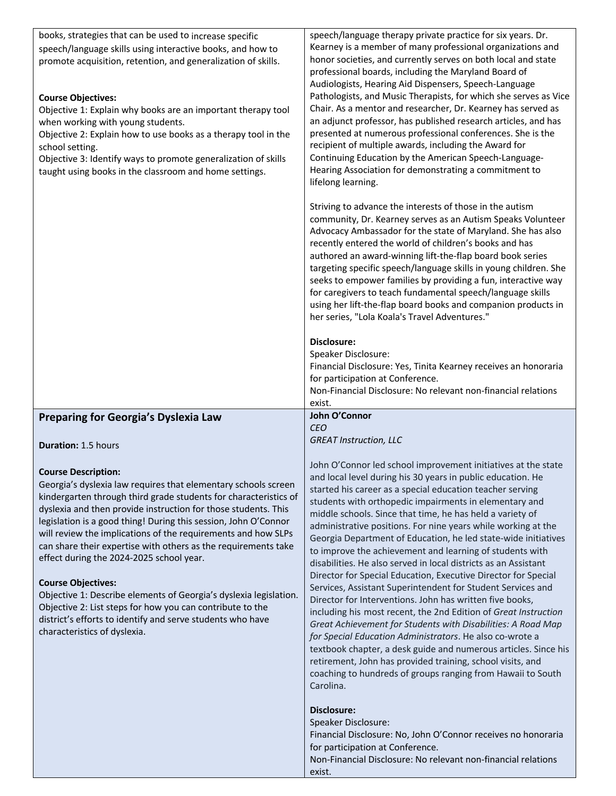| books, strategies that can be used to increase specific<br>speech/language skills using interactive books, and how to<br>promote acquisition, retention, and generalization of skills.<br><b>Course Objectives:</b><br>Objective 1: Explain why books are an important therapy tool<br>when working with young students.<br>Objective 2: Explain how to use books as a therapy tool in the<br>school setting.<br>Objective 3: Identify ways to promote generalization of skills<br>taught using books in the classroom and home settings.                                                                                                                                                                                                         | speech/language therapy private practice for six years. Dr.<br>Kearney is a member of many professional organizations and<br>honor societies, and currently serves on both local and state<br>professional boards, including the Maryland Board of<br>Audiologists, Hearing Aid Dispensers, Speech-Language<br>Pathologists, and Music Therapists, for which she serves as Vice<br>Chair. As a mentor and researcher, Dr. Kearney has served as<br>an adjunct professor, has published research articles, and has<br>presented at numerous professional conferences. She is the<br>recipient of multiple awards, including the Award for<br>Continuing Education by the American Speech-Language-<br>Hearing Association for demonstrating a commitment to<br>lifelong learning.<br>Striving to advance the interests of those in the autism<br>community, Dr. Kearney serves as an Autism Speaks Volunteer<br>Advocacy Ambassador for the state of Maryland. She has also<br>recently entered the world of children's books and has<br>authored an award-winning lift-the-flap board book series<br>targeting specific speech/language skills in young children. She<br>seeks to empower families by providing a fun, interactive way<br>for caregivers to teach fundamental speech/language skills<br>using her lift-the-flap board books and companion products in<br>her series, "Lola Koala's Travel Adventures."<br>Disclosure:<br>Speaker Disclosure:<br>Financial Disclosure: Yes, Tinita Kearney receives an honoraria<br>for participation at Conference.<br>Non-Financial Disclosure: No relevant non-financial relations |
|---------------------------------------------------------------------------------------------------------------------------------------------------------------------------------------------------------------------------------------------------------------------------------------------------------------------------------------------------------------------------------------------------------------------------------------------------------------------------------------------------------------------------------------------------------------------------------------------------------------------------------------------------------------------------------------------------------------------------------------------------|--------------------------------------------------------------------------------------------------------------------------------------------------------------------------------------------------------------------------------------------------------------------------------------------------------------------------------------------------------------------------------------------------------------------------------------------------------------------------------------------------------------------------------------------------------------------------------------------------------------------------------------------------------------------------------------------------------------------------------------------------------------------------------------------------------------------------------------------------------------------------------------------------------------------------------------------------------------------------------------------------------------------------------------------------------------------------------------------------------------------------------------------------------------------------------------------------------------------------------------------------------------------------------------------------------------------------------------------------------------------------------------------------------------------------------------------------------------------------------------------------------------------------------------------------------------------------------------------------------------------------------------|
|                                                                                                                                                                                                                                                                                                                                                                                                                                                                                                                                                                                                                                                                                                                                                   | exist.                                                                                                                                                                                                                                                                                                                                                                                                                                                                                                                                                                                                                                                                                                                                                                                                                                                                                                                                                                                                                                                                                                                                                                                                                                                                                                                                                                                                                                                                                                                                                                                                                               |
| Preparing for Georgia's Dyslexia Law                                                                                                                                                                                                                                                                                                                                                                                                                                                                                                                                                                                                                                                                                                              | John O'Connor                                                                                                                                                                                                                                                                                                                                                                                                                                                                                                                                                                                                                                                                                                                                                                                                                                                                                                                                                                                                                                                                                                                                                                                                                                                                                                                                                                                                                                                                                                                                                                                                                        |
| Duration: 1.5 hours                                                                                                                                                                                                                                                                                                                                                                                                                                                                                                                                                                                                                                                                                                                               | <b>CEO</b><br><b>GREAT Instruction, LLC</b>                                                                                                                                                                                                                                                                                                                                                                                                                                                                                                                                                                                                                                                                                                                                                                                                                                                                                                                                                                                                                                                                                                                                                                                                                                                                                                                                                                                                                                                                                                                                                                                          |
| <b>Course Description:</b><br>Georgia's dyslexia law requires that elementary schools screen<br>kindergarten through third grade students for characteristics of<br>dyslexia and then provide instruction for those students. This<br>legislation is a good thing! During this session, John O'Connor<br>will review the implications of the requirements and how SLPs<br>can share their expertise with others as the requirements take<br>effect during the 2024-2025 school year.<br><b>Course Objectives:</b><br>Objective 1: Describe elements of Georgia's dyslexia legislation.<br>Objective 2: List steps for how you can contribute to the<br>district's efforts to identify and serve students who have<br>characteristics of dyslexia. | John O'Connor led school improvement initiatives at the state<br>and local level during his 30 years in public education. He<br>started his career as a special education teacher serving<br>students with orthopedic impairments in elementary and<br>middle schools. Since that time, he has held a variety of<br>administrative positions. For nine years while working at the<br>Georgia Department of Education, he led state-wide initiatives<br>to improve the achievement and learning of students with<br>disabilities. He also served in local districts as an Assistant<br>Director for Special Education, Executive Director for Special<br>Services, Assistant Superintendent for Student Services and<br>Director for Interventions. John has written five books,<br>including his most recent, the 2nd Edition of Great Instruction<br>Great Achievement for Students with Disabilities: A Road Map<br>for Special Education Administrators. He also co-wrote a<br>textbook chapter, a desk guide and numerous articles. Since his<br>retirement, John has provided training, school visits, and<br>coaching to hundreds of groups ranging from Hawaii to South                                                                                                                                                                                                                                                                                                                                                                                                                                                       |

# **Disclosure:**

Carolina.

Speaker Disclosure:

Financial Disclosure: No, John O'Connor receives no honoraria for participation at Conference.

Non-Financial Disclosure: No relevant non-financial relations exist.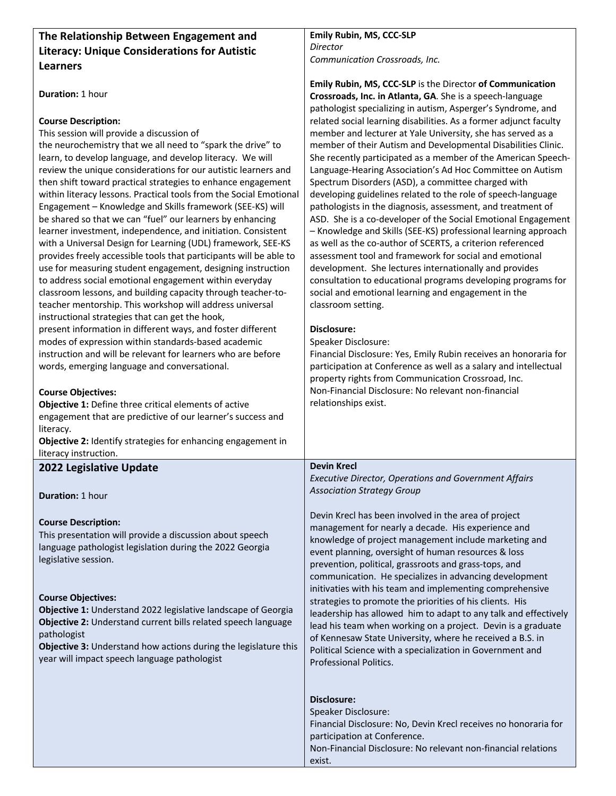# **The Relationship Between Engagement and Literacy: Unique Considerations for Autistic Learners**

**Duration:** 1 hour

#### **Course Description:**

This session will provide a discussion of

the neurochemistry that we all need to "spark the drive" to learn, to develop language, and develop literacy. We will review the unique considerations for our autistic learners and then shift toward practical strategies to enhance engagement within literacy lessons. Practical tools from the Social Emotional Engagement – Knowledge and Skills framework (SEE-KS) will be shared so that we can "fuel" our learners by enhancing learner investment, independence, and initiation. Consistent with a Universal Design for Learning (UDL) framework, SEE-KS provides freely accessible tools that participants will be able to use for measuring student engagement, designing instruction to address social emotional engagement within everyday classroom lessons, and building capacity through teacher-toteacher mentorship. This workshop will address universal instructional strategies that can get the hook, present information in different ways, and foster different modes of expression within standards-based academic instruction and will be relevant for learners who are before words, emerging language and conversational.

#### **Course Objectives:**

**Objective 1:** Define three critical elements of active engagement that are predictive of our learner's success and literacy.

**Objective 2:** Identify strategies for enhancing engagement in literacy instruction.

#### **2022 Legislative Update**

**Duration:** 1 hour

#### **Course Description:**

This presentation will provide a discussion about speech language pathologist legislation during the 2022 Georgia legislative session.

#### **Course Objectives:**

**Objective 1:** Understand 2022 legislative landscape of Georgia **Objective 2:** Understand current bills related speech language pathologist

**Objective 3:** Understand how actions during the legislature this year will impact speech language pathologist

**Emily Rubin, MS, CCC-SLP** *Director Communication Crossroads, Inc.*

**Emily Rubin, MS, CCC-SLP** is the Director **of Communication Crossroads, Inc. in Atlanta, GA**. She is a speech-language pathologist specializing in autism, Asperger's Syndrome, and related social learning disabilities. As a former adjunct faculty member and lecturer at Yale University, she has served as a member of their Autism and Developmental Disabilities Clinic. She recently participated as a member of the American Speech-Language-Hearing Association's Ad Hoc Committee on Autism Spectrum Disorders (ASD), a committee charged with developing guidelines related to the role of speech-language pathologists in the diagnosis, assessment, and treatment of ASD. She is a co-developer of the Social Emotional Engagement – Knowledge and Skills (SEE-KS) professional learning approach as well as the co-author of SCERTS, a criterion referenced assessment tool and framework for social and emotional development. She lectures internationally and provides consultation to educational programs developing programs for social and emotional learning and engagement in the classroom setting.

#### **Disclosure:**

Speaker Disclosure:

Financial Disclosure: Yes, Emily Rubin receives an honoraria for participation at Conference as well as a salary and intellectual property rights from Communication Crossroad, Inc. Non-Financial Disclosure: No relevant non-financial relationships exist.

#### **Devin Krecl**

*Executive Director, Operations and Government Affairs Association Strategy Group*

Devin Krecl has been involved in the area of project management for nearly a decade. His experience and knowledge of project management include marketing and event planning, oversight of human resources & loss prevention, political, grassroots and grass-tops, and communication. He specializes in advancing development initivaties with his team and implementing comprehensive strategies to promote the priorities of his clients. His leadership has allowed him to adapt to any talk and effectively lead his team when working on a project. Devin is a graduate of Kennesaw State University, where he received a B.S. in Political Science with a specialization in Government and Professional Politics.

# **Disclosure:**

Speaker Disclosure: Financial Disclosure: No, Devin Krecl receives no honoraria for participation at Conference. Non-Financial Disclosure: No relevant non-financial relations exist.